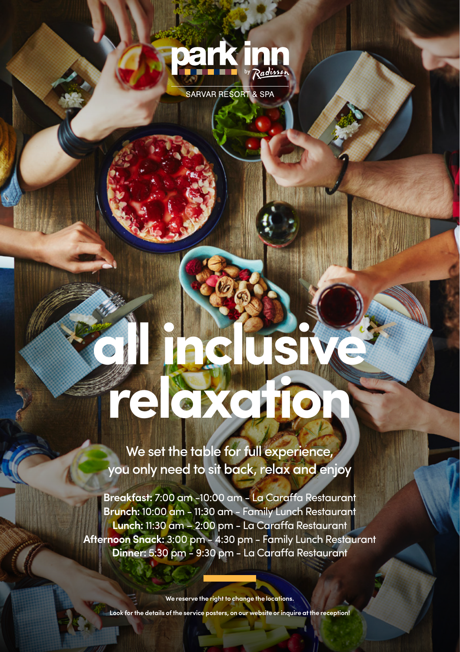

SARVAR RESORT & SPA

# **all inclusive relaxation**

We set the table for full experience, you only need to sit back, relax and enjoy

**Breakfast:** 7:00 am -10:00 am - La Caraffa Restaurant **Brunch:** 10:00 am - 11:30 am - Family Lunch Restaurant **Lunch:** 11:30 am – 2:00 pm - La Caraffa Restaurant **Afternoon Snack:** 3:00 pm - 4:30 pm - Family Lunch Restaurant **Dinner:** 5:30 pm - 9:30 pm - La Caraffa Restaurant

**We reserve the right to change the locations.**

**Look for the details of the service posters, on our website or inquire at the reception!**